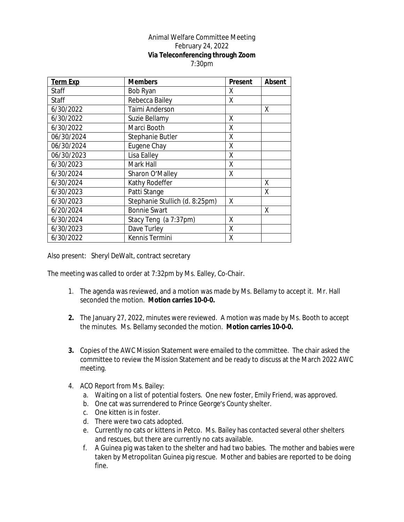## Animal Welfare Committee Meeting February 24, 2022 **Via Teleconferencing through Zoom** 7:30pm

| <b>Term Exp</b> | <b>Members</b>                 | Present | <b>Absent</b> |
|-----------------|--------------------------------|---------|---------------|
| Staff           | Bob Ryan                       | Χ       |               |
| Staff           | Rebecca Bailey                 | χ       |               |
| 6/30/2022       | Taimi Anderson                 |         | X             |
| 6/30/2022       | Suzie Bellamy                  | X       |               |
| 6/30/2022       | Marci Booth                    | Χ       |               |
| 06/30/2024      | Stephanie Butler               | Χ       |               |
| 06/30/2024      | Eugene Chay                    | Χ       |               |
| 06/30/2023      | Lisa Ealley                    | Χ       |               |
| 6/30/2023       | Mark Hall                      | Χ       |               |
| 6/30/2024       | Sharon O'Malley                | X       |               |
| 6/30/2024       | Kathy Rodeffer                 |         | X             |
| 6/30/2023       | Patti Stange                   |         | X             |
| 6/30/2023       | Stephanie Stullich (d. 8:25pm) | X       |               |
| 6/20/2024       | <b>Bonnie Swart</b>            |         | X             |
| 6/30/2024       | Stacy Teng (a 7:37pm)          | χ       |               |
| 6/30/2023       | Dave Turley                    | Χ       |               |
| 6/30/2022       | Kennis Termini                 | χ       |               |

Also present: Sheryl DeWalt, contract secretary

The meeting was called to order at 7:32pm by Ms. Ealley, Co-Chair.

- 1. The agenda was reviewed, and a motion was made by Ms. Bellamy to accept it. Mr. Hall seconded the motion. **Motion carries 10-0-0.**
- **2.** The January 27, 2022, minutes were reviewed. A motion was made by Ms. Booth to accept the minutes. Ms. Bellamy seconded the motion. **Motion carries 10-0-0.**
- **3.** Copies of the AWC Mission Statement were emailed to the committee. The chair asked the committee to review the Mission Statement and be ready to discuss at the March 2022 AWC meeting.
- 4. ACO Report from Ms. Bailey:
	- a. Waiting on a list of potential fosters. One new foster, Emily Friend, was approved.
	- b. One cat was surrendered to Prince George's County shelter.
	- c. One kitten is in foster.
	- d. There were two cats adopted.
	- e. Currently no cats or kittens in Petco. Ms. Bailey has contacted several other shelters and rescues, but there are currently no cats available.
	- f. A Guinea pig was taken to the shelter and had two babies. The mother and babies were taken by Metropolitan Guinea pig rescue. Mother and babies are reported to be doing fine.